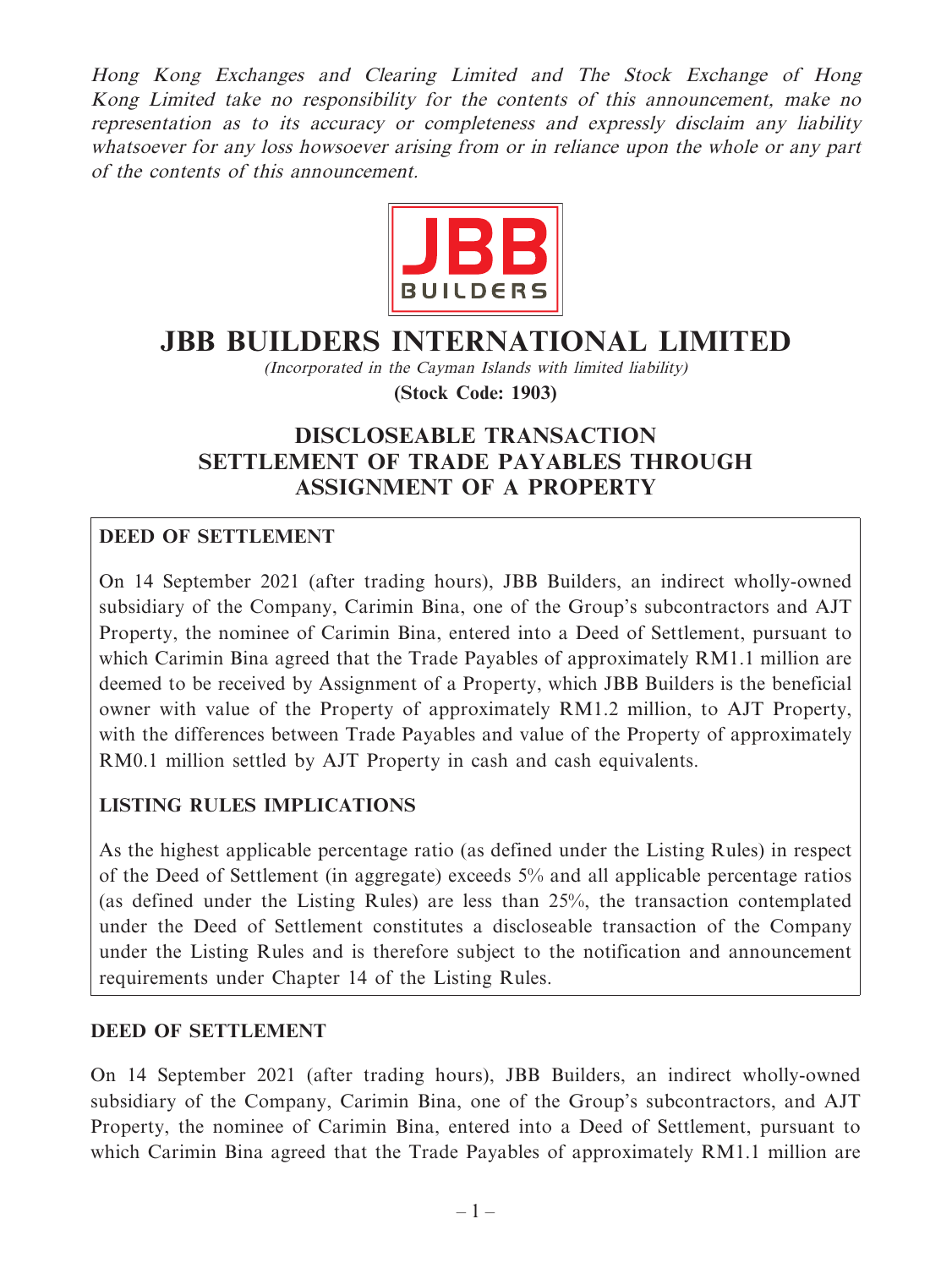Hong Kong Exchanges and Clearing Limited and The Stock Exchange of Hong Kong Limited take no responsibility for the contents of this announcement, make no representation as to its accuracy or completeness and expressly disclaim any liability whatsoever for any loss howsoever arising from or in reliance upon the whole or any part of the contents of this announcement.



# **JBB BUILDERS INTERNATIONAL LIMITED**

(Incorporated in the Cayman Islands with limited liability) **(Stock Code: 1903)**

# **DISCLOSEABLE TRANSACTION SETTLEMENT OF TRADE PAYABLES THROUGH ASSIGNMENT OF A PROPERTY**

## **DEED OF SETTLEMENT**

On 14 September 2021 (after trading hours), JBB Builders, an indirect wholly-owned subsidiary of the Company, Carimin Bina, one of the Group's subcontractors and AJT Property, the nominee of Carimin Bina, entered into a Deed of Settlement, pursuant to which Carimin Bina agreed that the Trade Payables of approximately RM1.1 million are deemed to be received by Assignment of a Property, which JBB Builders is the beneficial owner with value of the Property of approximately RM1.2 million, to AJT Property, with the differences between Trade Payables and value of the Property of approximately RM0.1 million settled by AJT Property in cash and cash equivalents.

## **LISTING RULES IMPLICATIONS**

As the highest applicable percentage ratio (as defined under the Listing Rules) in respect of the Deed of Settlement (in aggregate) exceeds 5% and all applicable percentage ratios (as defined under the Listing Rules) are less than 25%, the transaction contemplated under the Deed of Settlement constitutes a discloseable transaction of the Company under the Listing Rules and is therefore subject to the notification and announcement requirements under Chapter 14 of the Listing Rules.

#### **DEED OF SETTLEMENT**

On 14 September 2021 (after trading hours), JBB Builders, an indirect wholly-owned subsidiary of the Company, Carimin Bina, one of the Group's subcontractors, and AJT Property, the nominee of Carimin Bina, entered into a Deed of Settlement, pursuant to which Carimin Bina agreed that the Trade Payables of approximately RM1.1 million are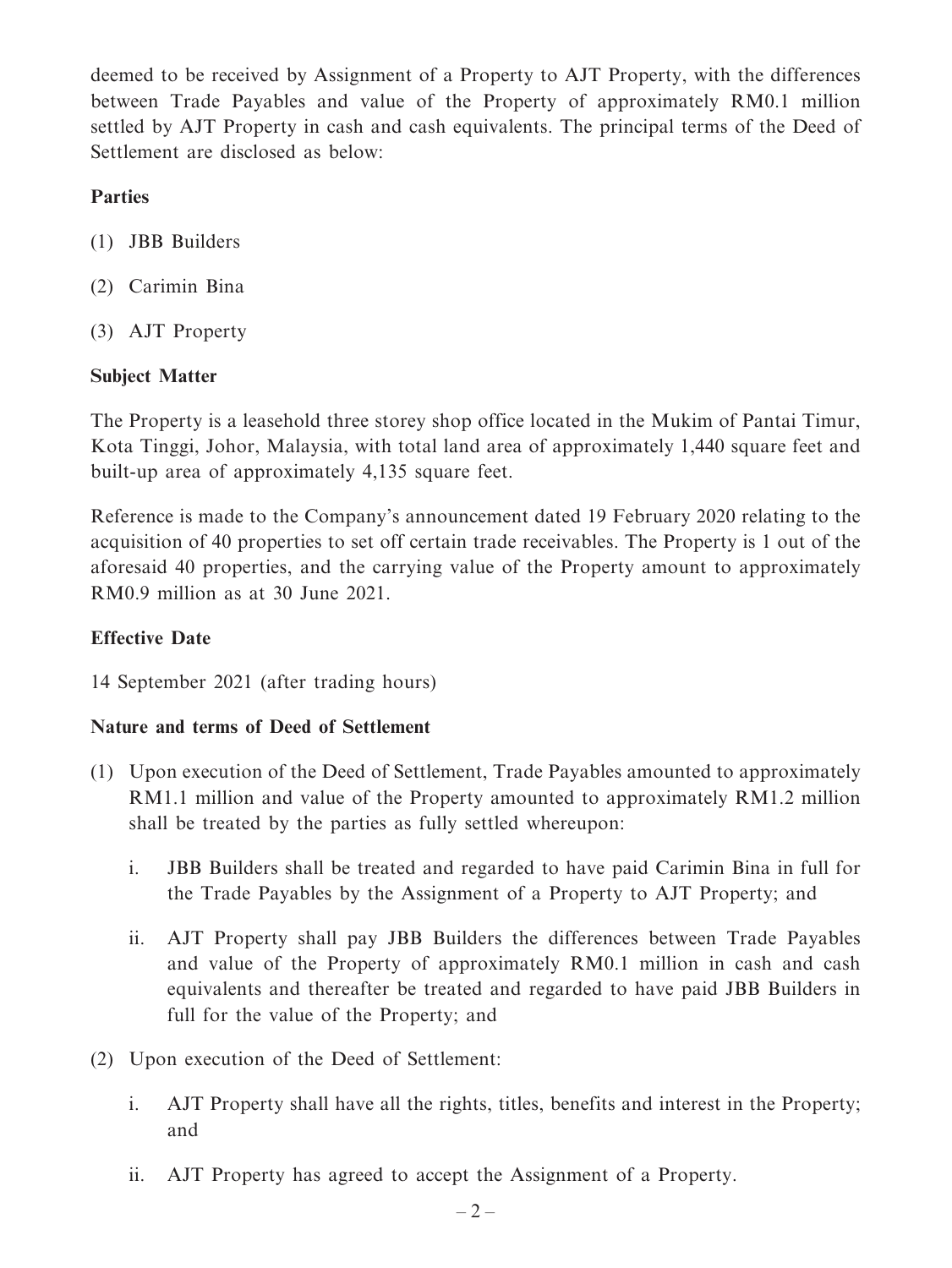deemed to be received by Assignment of a Property to AJT Property, with the differences between Trade Payables and value of the Property of approximately RM0.1 million settled by AJT Property in cash and cash equivalents. The principal terms of the Deed of Settlement are disclosed as below:

## **Parties**

- (1) JBB Builders
- (2) Carimin Bina
- (3) AJT Property

## **Subject Matter**

The Property is a leasehold three storey shop office located in the Mukim of Pantai Timur, Kota Tinggi, Johor, Malaysia, with total land area of approximately 1,440 square feet and built-up area of approximately 4,135 square feet.

Reference is made to the Company's announcement dated 19 February 2020 relating to the acquisition of 40 properties to set off certain trade receivables. The Property is 1 out of the aforesaid 40 properties, and the carrying value of the Property amount to approximately RM0.9 million as at 30 June 2021.

## **Effective Date**

14 September 2021 (after trading hours)

## **Nature and terms of Deed of Settlement**

- (1) Upon execution of the Deed of Settlement, Trade Payables amounted to approximately RM1.1 million and value of the Property amounted to approximately RM1.2 million shall be treated by the parties as fully settled whereupon:
	- i. JBB Builders shall be treated and regarded to have paid Carimin Bina in full for the Trade Payables by the Assignment of a Property to AJT Property; and
	- ii. AJT Property shall pay JBB Builders the differences between Trade Payables and value of the Property of approximately RM0.1 million in cash and cash equivalents and thereafter be treated and regarded to have paid JBB Builders in full for the value of the Property; and
- (2) Upon execution of the Deed of Settlement:
	- i. AJT Property shall have all the rights, titles, benefits and interest in the Property; and
	- ii. AJT Property has agreed to accept the Assignment of a Property.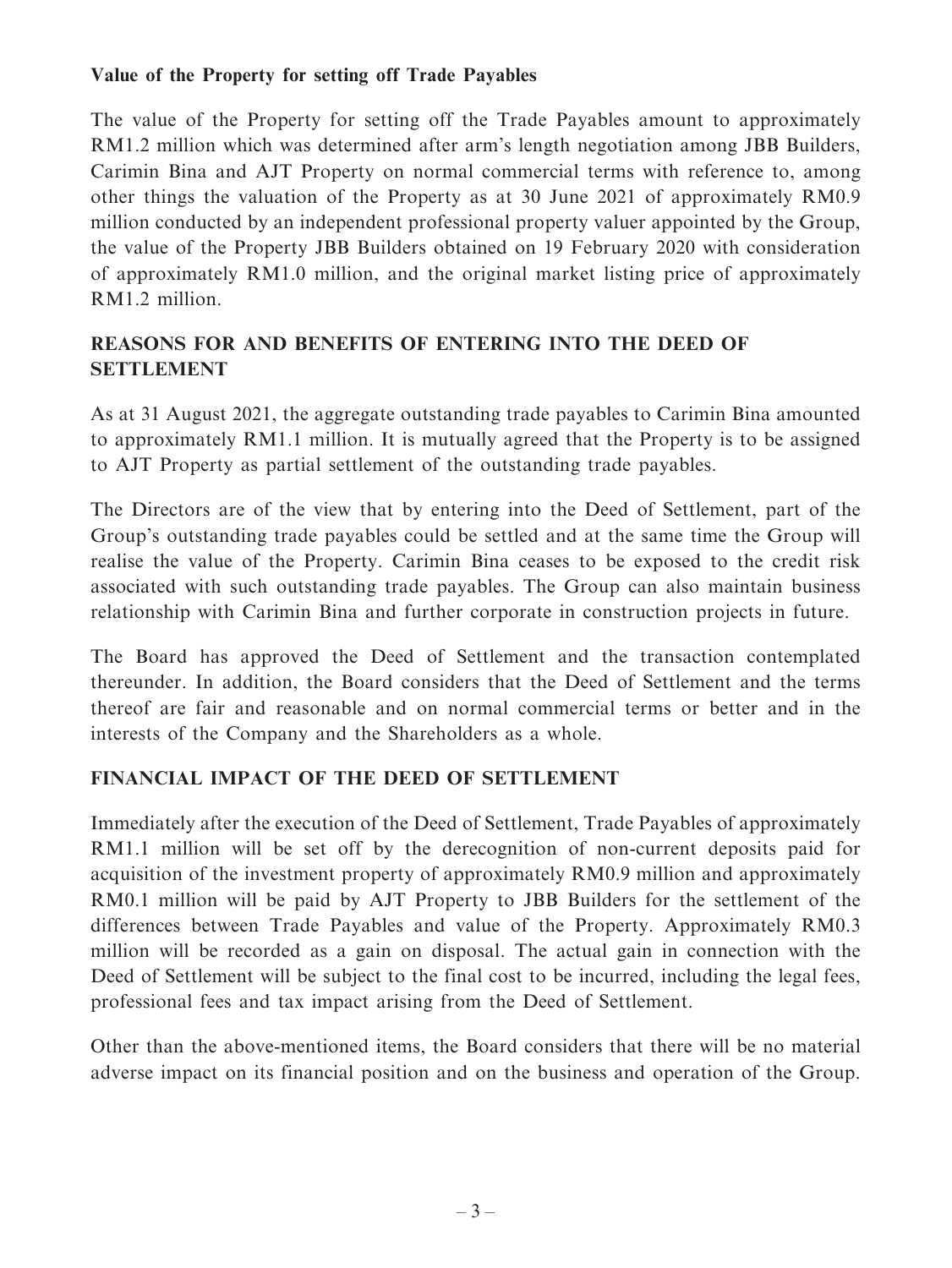## **Value of the Property for setting off Trade Payables**

The value of the Property for setting off the Trade Payables amount to approximately RM1.2 million which was determined after arm's length negotiation among JBB Builders, Carimin Bina and AJT Property on normal commercial terms with reference to, among other things the valuation of the Property as at 30 June 2021 of approximately RM0.9 million conducted by an independent professional property valuer appointed by the Group, the value of the Property JBB Builders obtained on 19 February 2020 with consideration of approximately RM1.0 million, and the original market listing price of approximately RM1.2 million.

## **REASONS FOR AND BENEFITS OF ENTERING INTO THE DEED OF SETTLEMENT**

As at 31 August 2021, the aggregate outstanding trade payables to Carimin Bina amounted to approximately RM1.1 million. It is mutually agreed that the Property is to be assigned to AJT Property as partial settlement of the outstanding trade payables.

The Directors are of the view that by entering into the Deed of Settlement, part of the Group's outstanding trade payables could be settled and at the same time the Group will realise the value of the Property. Carimin Bina ceases to be exposed to the credit risk associated with such outstanding trade payables. The Group can also maintain business relationship with Carimin Bina and further corporate in construction projects in future.

The Board has approved the Deed of Settlement and the transaction contemplated thereunder. In addition, the Board considers that the Deed of Settlement and the terms thereof are fair and reasonable and on normal commercial terms or better and in the interests of the Company and the Shareholders as a whole.

## **FINANCIAL IMPACT OF THE DEED OF SETTLEMENT**

Immediately after the execution of the Deed of Settlement, Trade Payables of approximately RM1.1 million will be set off by the derecognition of non-current deposits paid for acquisition of the investment property of approximately RM0.9 million and approximately RM0.1 million will be paid by AJT Property to JBB Builders for the settlement of the differences between Trade Payables and value of the Property. Approximately RM0.3 million will be recorded as a gain on disposal. The actual gain in connection with the Deed of Settlement will be subject to the final cost to be incurred, including the legal fees, professional fees and tax impact arising from the Deed of Settlement.

Other than the above-mentioned items, the Board considers that there will be no material adverse impact on its financial position and on the business and operation of the Group.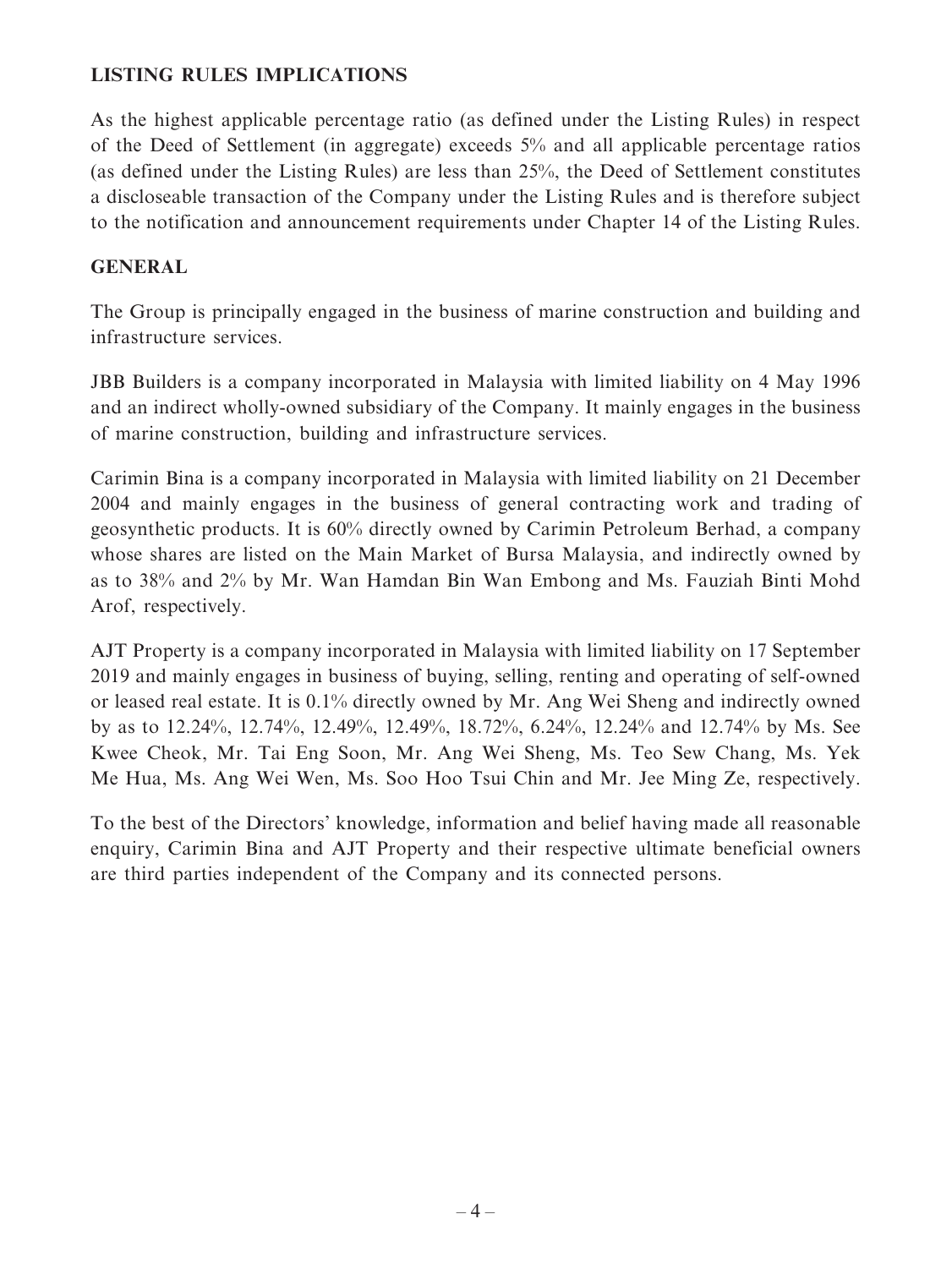## **LISTING RULES IMPLICATIONS**

As the highest applicable percentage ratio (as defined under the Listing Rules) in respect of the Deed of Settlement (in aggregate) exceeds 5% and all applicable percentage ratios (as defined under the Listing Rules) are less than 25%, the Deed of Settlement constitutes a discloseable transaction of the Company under the Listing Rules and is therefore subject to the notification and announcement requirements under Chapter 14 of the Listing Rules.

#### **GENERAL**

The Group is principally engaged in the business of marine construction and building and infrastructure services.

JBB Builders is a company incorporated in Malaysia with limited liability on 4 May 1996 and an indirect wholly-owned subsidiary of the Company. It mainly engages in the business of marine construction, building and infrastructure services.

Carimin Bina is a company incorporated in Malaysia with limited liability on 21 December 2004 and mainly engages in the business of general contracting work and trading of geosynthetic products. It is 60% directly owned by Carimin Petroleum Berhad, a company whose shares are listed on the Main Market of Bursa Malaysia, and indirectly owned by as to 38% and 2% by Mr. Wan Hamdan Bin Wan Embong and Ms. Fauziah Binti Mohd Arof, respectively.

AJT Property is a company incorporated in Malaysia with limited liability on 17 September 2019 and mainly engages in business of buying, selling, renting and operating of self-owned or leased real estate. It is 0.1% directly owned by Mr. Ang Wei Sheng and indirectly owned by as to 12.24%, 12.74%, 12.49%, 12.49%, 18.72%, 6.24%, 12.24% and 12.74% by Ms. See Kwee Cheok, Mr. Tai Eng Soon, Mr. Ang Wei Sheng, Ms. Teo Sew Chang, Ms. Yek Me Hua, Ms. Ang Wei Wen, Ms. Soo Hoo Tsui Chin and Mr. Jee Ming Ze, respectively.

To the best of the Directors' knowledge, information and belief having made all reasonable enquiry, Carimin Bina and AJT Property and their respective ultimate beneficial owners are third parties independent of the Company and its connected persons.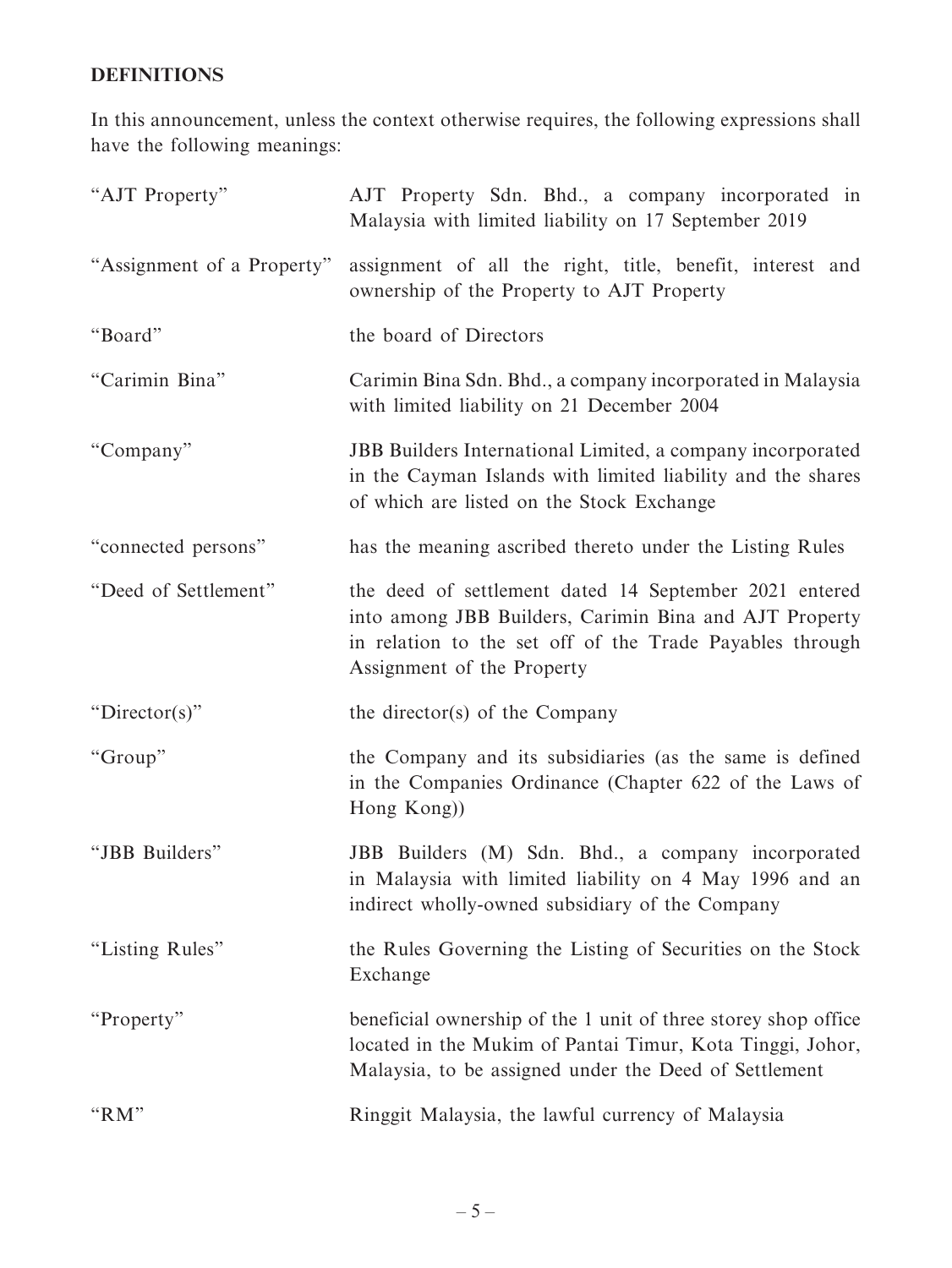## **DEFINITIONS**

In this announcement, unless the context otherwise requires, the following expressions shall have the following meanings:

| "AJT Property"             | AJT Property Sdn. Bhd., a company incorporated in<br>Malaysia with limited liability on 17 September 2019                                                                                                  |
|----------------------------|------------------------------------------------------------------------------------------------------------------------------------------------------------------------------------------------------------|
| "Assignment of a Property" | assignment of all the right, title, benefit, interest and<br>ownership of the Property to AJT Property                                                                                                     |
| "Board"                    | the board of Directors                                                                                                                                                                                     |
| "Carimin Bina"             | Carimin Bina Sdn. Bhd., a company incorporated in Malaysia<br>with limited liability on 21 December 2004                                                                                                   |
| "Company"                  | JBB Builders International Limited, a company incorporated<br>in the Cayman Islands with limited liability and the shares<br>of which are listed on the Stock Exchange                                     |
| "connected persons"        | has the meaning ascribed thereto under the Listing Rules                                                                                                                                                   |
| "Deed of Settlement"       | the deed of settlement dated 14 September 2021 entered<br>into among JBB Builders, Carimin Bina and AJT Property<br>in relation to the set off of the Trade Payables through<br>Assignment of the Property |
| " $Director(s)$ "          | the director(s) of the Company                                                                                                                                                                             |
| "Group"                    | the Company and its subsidiaries (as the same is defined<br>in the Companies Ordinance (Chapter 622 of the Laws of<br>Hong Kong))                                                                          |
| "JBB Builders"             | JBB Builders (M) Sdn. Bhd., a company incorporated<br>in Malaysia with limited liability on 4 May 1996 and an<br>indirect wholly-owned subsidiary of the Company                                           |
| "Listing Rules"            | the Rules Governing the Listing of Securities on the Stock<br>Exchange                                                                                                                                     |
| "Property"                 | beneficial ownership of the 1 unit of three storey shop office<br>located in the Mukim of Pantai Timur, Kota Tinggi, Johor,<br>Malaysia, to be assigned under the Deed of Settlement                       |
| " $RM"$                    | Ringgit Malaysia, the lawful currency of Malaysia                                                                                                                                                          |